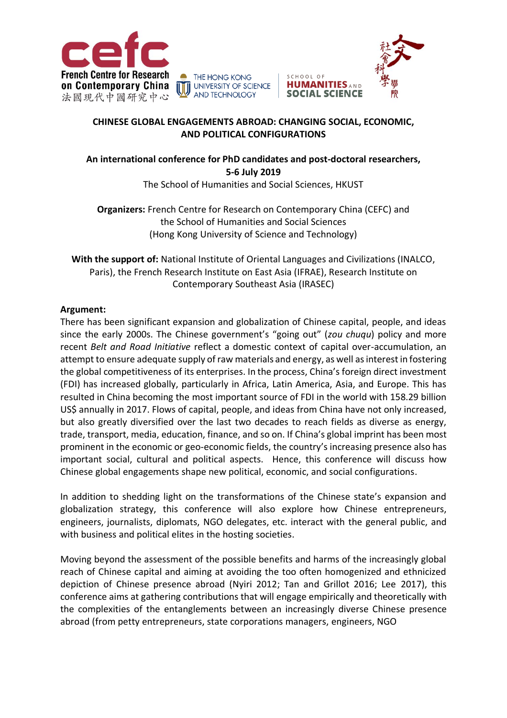





#### **CHINESE GLOBAL ENGAGEMENTS ABROAD: CHANGING SOCIAL, ECONOMIC, AND POLITICAL CONFIGURATIONS**

SCHOOL OF

**HUMANITIES AND** 

**SOCIAL SCIENCE** 

# **An international conference for PhD candidates and post-doctoral researchers, 5-6 July 2019**

The School of Humanities and Social Sciences, HKUST

**Organizers:** French Centre for Research on Contemporary China (CEFC) and the School of Humanities and Social Sciences (Hong Kong University of Science and Technology)

**With the support of:** National Institute of Oriental Languages and Civilizations (INALCO, Paris), the French Research Institute on East Asia (IFRAE), Research Institute on Contemporary Southeast Asia (IRASEC)

### **Argument:**

There has been significant expansion and globalization of Chinese capital, people, and ideas since the early 2000s. The Chinese government's "going out" (*zou chuqu*) policy and more recent *Belt and Road Initiative* reflect a domestic context of capital over-accumulation, an attempt to ensure adequate supply of raw materials and energy, as well as interest in fostering the global competitiveness of its enterprises. In the process, China's foreign direct investment (FDI) has increased globally, particularly in Africa, Latin America, Asia, and Europe. This has resulted in China becoming the most important source of FDI in the world with 158.29 billion US\$ annually in 2017. Flows of capital, people, and ideas from China have not only increased, but also greatly diversified over the last two decades to reach fields as diverse as energy, trade, transport, media, education, finance, and so on. If China's global imprint has been most prominent in the economic or geo-economic fields, the country's increasing presence also has important social, cultural and political aspects. Hence, this conference will discuss how Chinese global engagements shape new political, economic, and social configurations.

In addition to shedding light on the transformations of the Chinese state's expansion and globalization strategy, this conference will also explore how Chinese entrepreneurs, engineers, journalists, diplomats, NGO delegates, etc. interact with the general public, and with business and political elites in the hosting societies.

Moving beyond the assessment of the possible benefits and harms of the increasingly global reach of Chinese capital and aiming at avoiding the too often homogenized and ethnicized depiction of Chinese presence abroad (Nyiri 2012; Tan and Grillot 2016; Lee 2017), this conference aims at gathering contributions that will engage empirically and theoretically with the complexities of the entanglements between an increasingly diverse Chinese presence abroad (from petty entrepreneurs, state corporations managers, engineers, NGO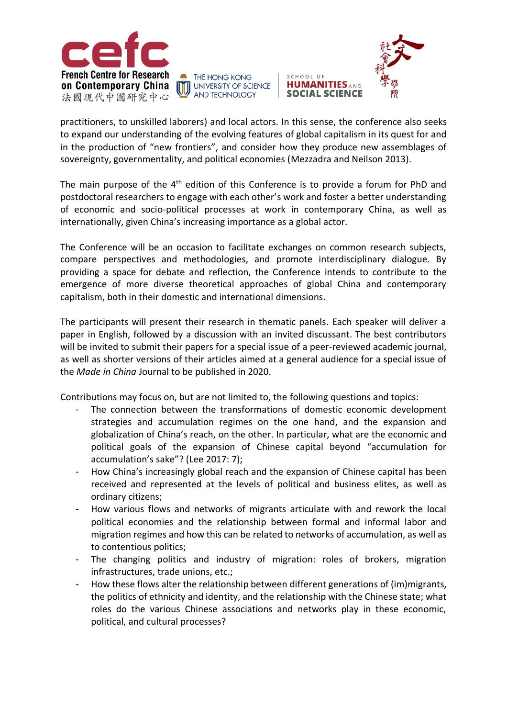

**THE HONG KONG** THE HONG KONG<br>
UNIVERSITY OF SCIENCE **AND TECHNOLOGY** 



practitioners, to unskilled laborers) and local actors. In this sense, the conference also seeks to expand our understanding of the evolving features of global capitalism in its quest for and in the production of "new frontiers", and consider how they produce new assemblages of sovereignty, governmentality, and political economies (Mezzadra and Neilson 2013).

SCHOOL OF

The main purpose of the  $4<sup>th</sup>$  edition of this Conference is to provide a forum for PhD and postdoctoral researchers to engage with each other's work and foster a better understanding of economic and socio-political processes at work in contemporary China, as well as internationally, given China's increasing importance as a global actor.

The Conference will be an occasion to facilitate exchanges on common research subjects, compare perspectives and methodologies, and promote interdisciplinary dialogue. By providing a space for debate and reflection, the Conference intends to contribute to the emergence of more diverse theoretical approaches of global China and contemporary capitalism, both in their domestic and international dimensions.

The participants will present their research in thematic panels. Each speaker will deliver a paper in English, followed by a discussion with an invited discussant. The best contributors will be invited to submit their papers for a special issue of a peer-reviewed academic journal, as well as shorter versions of their articles aimed at a general audience for a special issue of the *Made in China* Journal to be published in 2020.

Contributions may focus on, but are not limited to, the following questions and topics:

- The connection between the transformations of domestic economic development strategies and accumulation regimes on the one hand, and the expansion and globalization of China's reach, on the other. In particular, what are the economic and political goals of the expansion of Chinese capital beyond "accumulation for accumulation's sake"? (Lee 2017: 7);
- How China's increasingly global reach and the expansion of Chinese capital has been received and represented at the levels of political and business elites, as well as ordinary citizens;
- How various flows and networks of migrants articulate with and rework the local political economies and the relationship between formal and informal labor and migration regimes and how this can be related to networks of accumulation, as well as to contentious politics;
- The changing politics and industry of migration: roles of brokers, migration infrastructures, trade unions, etc.;
- How these flows alter the relationship between different generations of (im)migrants, the politics of ethnicity and identity, and the relationship with the Chinese state; what roles do the various Chinese associations and networks play in these economic, political, and cultural processes?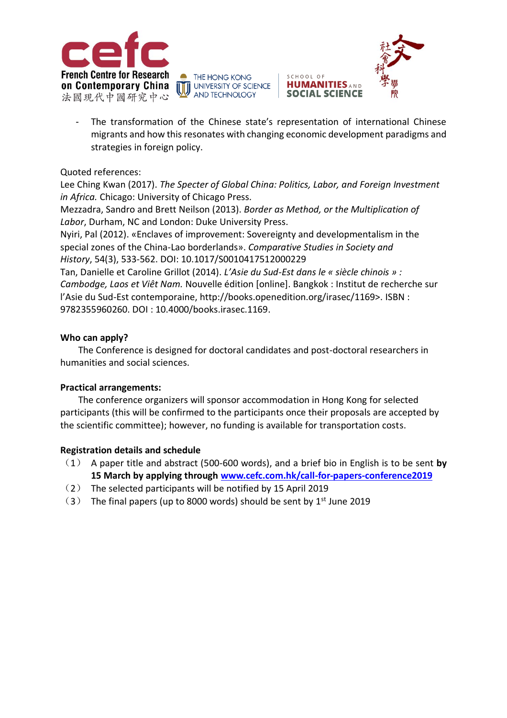

THE HONG KONG THE HONG KONG<br>
UNIVERSITY OF SCIENCE **AND TECHNOLOGY** 



The transformation of the Chinese state's representation of international Chinese migrants and how this resonates with changing economic development paradigms and strategies in foreign policy.

SCHOOL OF

Quoted references:

Lee Ching Kwan (2017). *The Specter of Global China: Politics, Labor, and Foreign Investment in Africa.* Chicago: University of Chicago Press.

Mezzadra, Sandro and Brett Neilson (2013). *Border as Method, or the Multiplication of Labor*, Durham, NC and London: Duke University Press.

Nyiri, Pal (2012). «Enclaves of improvement: Sovereignty and developmentalism in the special zones of the China-Lao borderlands». *Comparative Studies in Society and History*, 54(3), 533-562. DOI: 10.1017/S0010417512000229

Tan, Danielle et Caroline Grillot (2014). *L'Asie du Sud-Est dans le « siècle chinois » : Cambodge, Laos et Viêt Nam.* Nouvelle édition [online]. Bangkok : Institut de recherche sur l'Asie du Sud-Est contemporaine, http://books.openedition.org/irasec/1169>. ISBN : 9782355960260. DOI : 10.4000/books.irasec.1169.

#### **Who can apply?**

The Conference is designed for doctoral candidates and post-doctoral researchers in humanities and social sciences.

#### **Practical arrangements:**

The conference organizers will sponsor accommodation in Hong Kong for selected participants (this will be confirmed to the participants once their proposals are accepted by the scientific committee); however, no funding is available for transportation costs.

#### **Registration details and schedule**

- (1) A paper title and abstract (500-600 words), and a brief bio in English is to be sent **by 15 March by applying through [www.cefc.com.hk/call-for-papers-conference2019](http://www.cefc.com.hk/call-for-papers-conference2019)**
- (2) The selected participants will be notified by 15 April 2019
- $(3)$  The final papers (up to 8000 words) should be sent by 1<sup>st</sup> June 2019